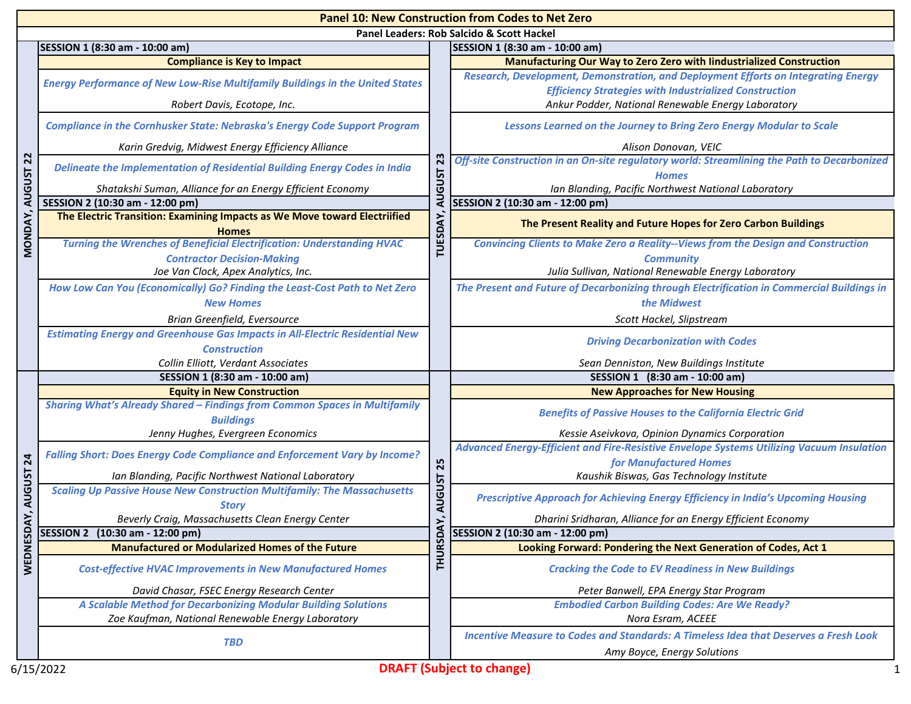| <b>Panel 10: New Construction from Codes to Net Zero</b> |                                                                                                                     |                                             |                                                                                                                                                                                                           |  |  |
|----------------------------------------------------------|---------------------------------------------------------------------------------------------------------------------|---------------------------------------------|-----------------------------------------------------------------------------------------------------------------------------------------------------------------------------------------------------------|--|--|
|                                                          | Panel Leaders: Rob Salcido & Scott Hackel                                                                           |                                             |                                                                                                                                                                                                           |  |  |
|                                                          | SESSION 1 (8:30 am - 10:00 am)<br><b>Compliance is Key to Impact</b>                                                | 23<br><b>ISUST</b><br>₹<br><b>TUESDAY</b>   | SESSION 1 (8:30 am - 10:00 am)<br>Manufacturing Our Way to Zero Zero with lindustrialized Construction                                                                                                    |  |  |
|                                                          | <b>Energy Performance of New Low-Rise Multifamily Buildings in the United States</b><br>Robert Davis, Ecotope, Inc. |                                             | Research, Development, Demonstration, and Deployment Efforts on Integrating Energy<br><b>Efficiency Strategies with Industrialized Construction</b><br>Ankur Podder, National Renewable Energy Laboratory |  |  |
|                                                          | <b>Compliance in the Cornhusker State: Nebraska's Energy Code Support Program</b>                                   |                                             | Lessons Learned on the Journey to Bring Zero Energy Modular to Scale                                                                                                                                      |  |  |
|                                                          | Karin Gredvig, Midwest Energy Efficiency Alliance                                                                   |                                             | Alison Donovan, VEIC                                                                                                                                                                                      |  |  |
| <b>AUGUST 22</b>                                         | Delineate the Implementation of Residential Building Energy Codes in India                                          |                                             | Off-site Construction in an On-site regulatory world: Streamlining the Path to Decarbonized<br><b>Homes</b>                                                                                               |  |  |
|                                                          | Shatakshi Suman, Alliance for an Energy Efficient Economy                                                           |                                             | Ian Blanding, Pacific Northwest National Laboratory                                                                                                                                                       |  |  |
|                                                          | SESSION 2 (10:30 am - 12:00 pm)                                                                                     |                                             | SESSION 2 (10:30 am - 12:00 pm)                                                                                                                                                                           |  |  |
| MONDAY,                                                  | The Electric Transition: Examining Impacts as We Move toward Electriified<br><b>Homes</b>                           |                                             | The Present Reality and Future Hopes for Zero Carbon Buildings                                                                                                                                            |  |  |
|                                                          | <b>Turning the Wrenches of Beneficial Electrification: Understanding HVAC</b><br><b>Contractor Decision-Making</b>  |                                             | <b>Convincing Clients to Make Zero a Reality--Views from the Design and Construction</b><br><b>Community</b>                                                                                              |  |  |
|                                                          | Joe Van Clock, Apex Analytics, Inc.                                                                                 |                                             | Julia Sullivan, National Renewable Energy Laboratory                                                                                                                                                      |  |  |
|                                                          | How Low Can You (Economically) Go? Finding the Least-Cost Path to Net Zero                                          |                                             | The Present and Future of Decarbonizing through Electrification in Commercial Buildings in                                                                                                                |  |  |
|                                                          | <b>New Homes</b>                                                                                                    |                                             | the Midwest                                                                                                                                                                                               |  |  |
|                                                          | Brian Greenfield, Eversource                                                                                        |                                             | Scott Hackel, Slipstream                                                                                                                                                                                  |  |  |
|                                                          | <b>Estimating Energy and Greenhouse Gas Impacts in All-Electric Residential New</b>                                 |                                             | <b>Driving Decarbonization with Codes</b>                                                                                                                                                                 |  |  |
|                                                          | <b>Construction</b>                                                                                                 |                                             |                                                                                                                                                                                                           |  |  |
|                                                          | Collin Elliott, Verdant Associates                                                                                  |                                             | Sean Denniston, New Buildings Institute                                                                                                                                                                   |  |  |
|                                                          | SESSION 1 (8:30 am - 10:00 am)                                                                                      |                                             | SESSION 1 (8:30 am - 10:00 am)                                                                                                                                                                            |  |  |
|                                                          | <b>Equity in New Construction</b>                                                                                   | 25<br><b>AUGUST</b><br>ΣÝ,<br><b>THURSD</b> | <b>New Approaches for New Housing</b>                                                                                                                                                                     |  |  |
|                                                          | <b>Sharing What's Already Shared - Findings from Common Spaces in Multifamily</b><br><b>Buildings</b>               |                                             | <b>Benefits of Passive Houses to the California Electric Grid</b>                                                                                                                                         |  |  |
|                                                          | Jenny Hughes, Evergreen Economics                                                                                   |                                             | Kessie Aseivkova, Opinion Dynamics Corporation                                                                                                                                                            |  |  |
|                                                          | <b>Falling Short: Does Energy Code Compliance and Enforcement Vary by Income?</b>                                   |                                             | Advanced Energy-Efficient and Fire-Resistive Envelope Systems Utilizing Vacuum Insulation                                                                                                                 |  |  |
| 24                                                       |                                                                                                                     |                                             | for Manufactured Homes                                                                                                                                                                                    |  |  |
|                                                          | Ian Blanding, Pacific Northwest National Laboratory                                                                 |                                             | Kaushik Biswas, Gas Technology Institute                                                                                                                                                                  |  |  |
| <b>AUGUST</b>                                            | <b>Scaling Up Passive House New Construction Multifamily: The Massachusetts</b><br><b>Storv</b>                     |                                             | Prescriptive Approach for Achieving Energy Efficiency in India's Upcoming Housing                                                                                                                         |  |  |
| ÀY,                                                      | Beverly Craig, Massachusetts Clean Energy Center                                                                    |                                             | Dharini Sridharan, Alliance for an Energy Efficient Economy                                                                                                                                               |  |  |
|                                                          | SESSION 2 (10:30 am - 12:00 pm)                                                                                     |                                             | SESSION 2 (10:30 am - 12:00 pm)                                                                                                                                                                           |  |  |
| WEDNESD                                                  | <b>Manufactured or Modularized Homes of the Future</b>                                                              |                                             | Looking Forward: Pondering the Next Generation of Codes, Act 1                                                                                                                                            |  |  |
|                                                          | <b>Cost-effective HVAC Improvements in New Manufactured Homes</b>                                                   |                                             | <b>Cracking the Code to EV Readiness in New Buildings</b>                                                                                                                                                 |  |  |
|                                                          | David Chasar, FSEC Energy Research Center                                                                           |                                             | Peter Banwell, EPA Energy Star Program                                                                                                                                                                    |  |  |
|                                                          | A Scalable Method for Decarbonizing Modular Building Solutions<br>Zoe Kaufman, National Renewable Energy Laboratory |                                             | <b>Embodied Carbon Building Codes: Are We Ready?</b><br>Nora Esram, ACEEE                                                                                                                                 |  |  |
|                                                          |                                                                                                                     |                                             |                                                                                                                                                                                                           |  |  |
|                                                          | <b>TBD</b>                                                                                                          |                                             | Incentive Measure to Codes and Standards: A Timeless Idea that Deserves a Fresh Look<br>Amy Boyce, Energy Solutions                                                                                       |  |  |